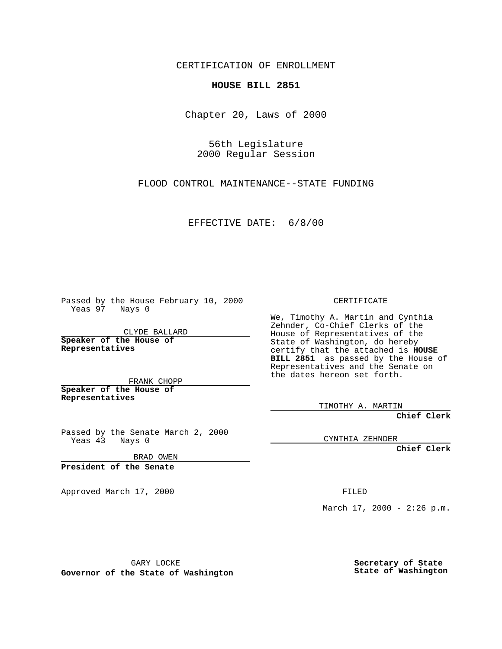CERTIFICATION OF ENROLLMENT

## **HOUSE BILL 2851**

Chapter 20, Laws of 2000

56th Legislature 2000 Regular Session

FLOOD CONTROL MAINTENANCE--STATE FUNDING

## EFFECTIVE DATE: 6/8/00

Passed by the House February 10, 2000 Yeas 97 Nays 0

CLYDE BALLARD **Speaker of the House of Representatives**

FRANK CHOPP **Speaker of the House of**

**Representatives**

Passed by the Senate March 2, 2000 Yeas 43 Nays 0

BRAD OWEN

**President of the Senate**

Approved March 17, 2000 FILED

CERTIFICATE

We, Timothy A. Martin and Cynthia Zehnder, Co-Chief Clerks of the House of Representatives of the State of Washington, do hereby certify that the attached is **HOUSE BILL 2851** as passed by the House of Representatives and the Senate on the dates hereon set forth.

TIMOTHY A. MARTIN

**Chief Clerk**

CYNTHIA ZEHNDER

**Chief Clerk**

March  $17, 2000 - 2:26 p.m.$ 

GARY LOCKE

**Governor of the State of Washington**

**Secretary of State State of Washington**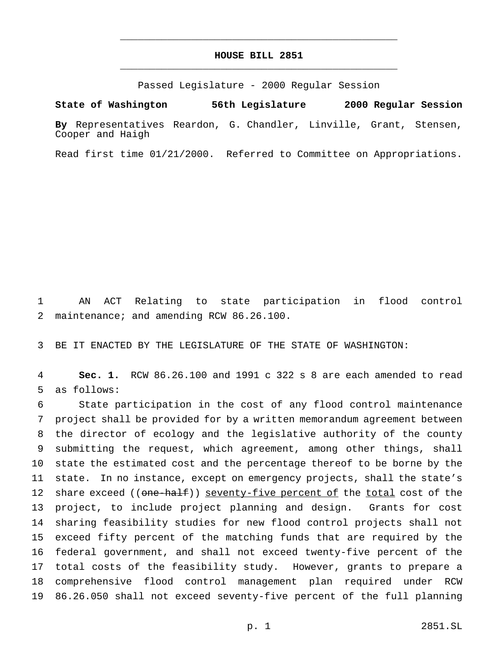## **HOUSE BILL 2851** \_\_\_\_\_\_\_\_\_\_\_\_\_\_\_\_\_\_\_\_\_\_\_\_\_\_\_\_\_\_\_\_\_\_\_\_\_\_\_\_\_\_\_\_\_\_\_

\_\_\_\_\_\_\_\_\_\_\_\_\_\_\_\_\_\_\_\_\_\_\_\_\_\_\_\_\_\_\_\_\_\_\_\_\_\_\_\_\_\_\_\_\_\_\_

Passed Legislature - 2000 Regular Session

**State of Washington 56th Legislature 2000 Regular Session**

**By** Representatives Reardon, G. Chandler, Linville, Grant, Stensen, Cooper and Haigh

Read first time 01/21/2000. Referred to Committee on Appropriations.

 AN ACT Relating to state participation in flood control maintenance; and amending RCW 86.26.100.

BE IT ENACTED BY THE LEGISLATURE OF THE STATE OF WASHINGTON:

 **Sec. 1.** RCW 86.26.100 and 1991 c 322 s 8 are each amended to read as follows:

 State participation in the cost of any flood control maintenance project shall be provided for by a written memorandum agreement between the director of ecology and the legislative authority of the county submitting the request, which agreement, among other things, shall state the estimated cost and the percentage thereof to be borne by the state. In no instance, except on emergency projects, shall the state's 12 share exceed ((one-half)) seventy-five percent of the total cost of the project, to include project planning and design. Grants for cost sharing feasibility studies for new flood control projects shall not exceed fifty percent of the matching funds that are required by the federal government, and shall not exceed twenty-five percent of the total costs of the feasibility study. However, grants to prepare a comprehensive flood control management plan required under RCW 86.26.050 shall not exceed seventy-five percent of the full planning